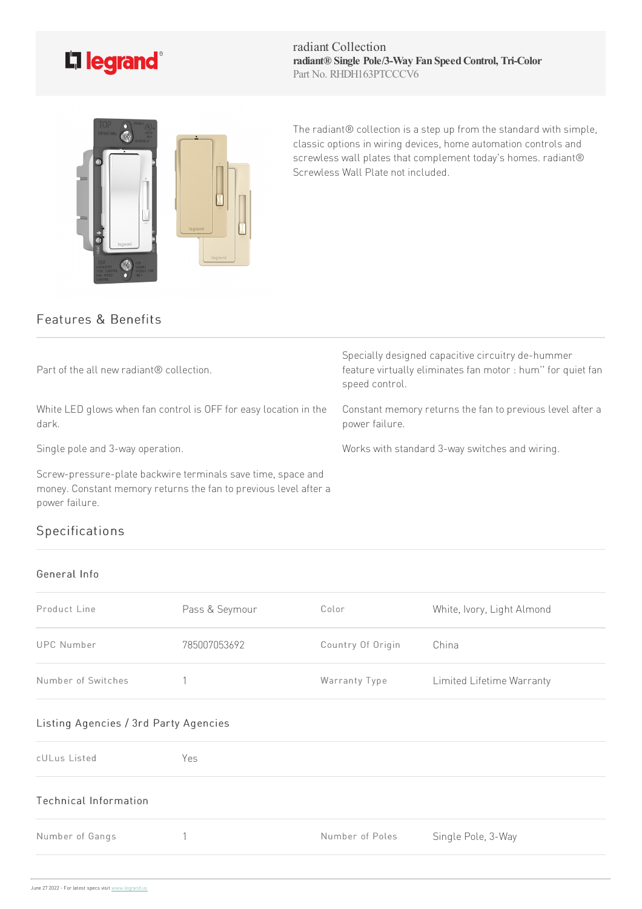

radiant Collection **radiant® Single Pole/3-Way Fan SpeedControl, Tri-Color** Part No. RHDH163PTCCCV6



The radiant® collection is a step up from the standard with simple, classic options in wiring devices, home automation controls and screwless wall plates that complement today's homes. radiant® Screwless Wall Plate not included.

## Features & Benefits

| Part of the all new radiant® collection.                                                                                                           | Specially designed capacitive circuitry de-hummer<br>feature virtually eliminates fan motor : hum" for quiet fan<br>speed control. |
|----------------------------------------------------------------------------------------------------------------------------------------------------|------------------------------------------------------------------------------------------------------------------------------------|
| White LED glows when fan control is OFF for easy location in the<br>dark.                                                                          | Constant memory returns the fan to previous level after a<br>power failure.                                                        |
| Single pole and 3-way operation.                                                                                                                   | Works with standard 3-way switches and wiring.                                                                                     |
| Screw-pressure-plate backwire terminals save time, space and<br>money. Constant memory returns the fan to previous level after a<br>power failure. |                                                                                                                                    |

## Specifications

## General Info

| Product Line       | Pass & Seymour | Color             | White, Ivory, Light Almond |
|--------------------|----------------|-------------------|----------------------------|
| <b>UPC Number</b>  | 785007053692   | Country Of Origin | China                      |
| Number of Switches |                | Warranty Type     | Limited Lifetime Warranty  |

## Listing Agencies / 3rd Party Agencies

| cULus Listed          | Yes |                 |                    |
|-----------------------|-----|-----------------|--------------------|
| Technical Information |     |                 |                    |
| Number of Gangs       |     | Number of Poles | Single Pole, 3-Way |